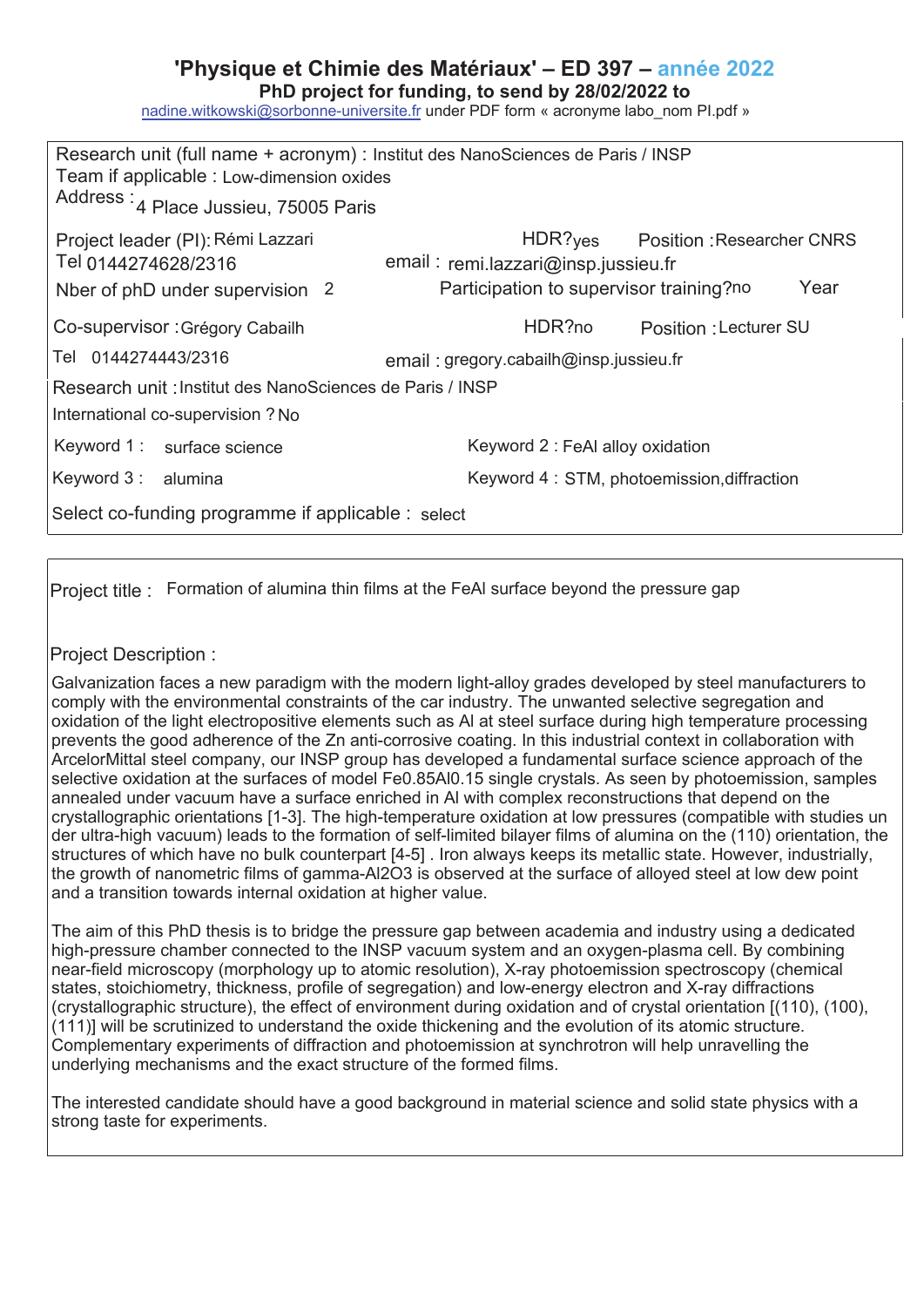## **'Physique et Chimie des Matériaux' – ED 397 – année 202**

PhD project for funding, to send by 28/02/2022 to

nadine.witkowski@sorbonne-universite.fr under PDF form « acronyme labo\_nom Pl.pdf »

| Research unit (full name + acronym) : Institut des NanoSciences de Paris / INSP<br>Team if applicable : Low-dimension oxides<br>Address : 4 Place Jussieu, 75005 Paris |                                                                                                                              |
|------------------------------------------------------------------------------------------------------------------------------------------------------------------------|------------------------------------------------------------------------------------------------------------------------------|
| Project leader (PI): Rémi Lazzari<br>Tel 0144274628/2316<br>Nber of phD under supervision 2                                                                            | HDR?yes Position : Researcher CNRS<br>email: remi.lazzari@insp.jussieu.fr<br>Participation to supervisor training?no<br>Year |
| Co-supervisor : Grégory Cabailh                                                                                                                                        | HDR?no<br>Position : Lecturer SU                                                                                             |
| Tel 0144274443/2316                                                                                                                                                    | email: gregory.cabailh@insp.jussieu.fr                                                                                       |
| Research unit : Institut des NanoSciences de Paris / INSP                                                                                                              |                                                                                                                              |
| International co-supervision ? No                                                                                                                                      |                                                                                                                              |
| Keyword 1: surface science                                                                                                                                             | Keyword 2 : FeAl alloy oxidation                                                                                             |
| Keyword 3: alumina                                                                                                                                                     | Keyword 4: STM, photoemission, diffraction                                                                                   |
| Select co-funding programme if applicable : select                                                                                                                     |                                                                                                                              |

Project title : Formation of alumina thin films at the FeAI surface beyond the pressure gap

## Project Description :

Galvanization faces a new paradigm with the modern light-alloy grades developed by steel manufacturers to comply with the environmental constraints of the car industry. The unwanted selective segregation and oxidation of the light electropositive elements such as Al at steel surface during high temperature processing prevents the good adherence of the Zn anti-corrosive coating. In this industrial context in collaboration with ArcelorMittal steel company, our INSP group has developed a fundamental surface science approach of the selective oxidation at the surfaces of model Fe0.85Al0.15 single crystals. As seen by photoemission, samples annealed under vacuum have a surface enriched in Al with complex reconstructions that depend on the crystallographic orientations [1-3]. The high-temperature oxidation at low pressures (compatible with studies un der ultra-high vacuum) leads to the formation of self-limited bilayer films of alumina on the (110) orientation, the structures of which have no bulk counterpart [4-5] . Iron always keeps its metallic state. However, industrially, the growth of nanometric films of gamma-Al2O3 is observed at the surface of alloyed steel at low dew point and a transition towards internal oxidation at higher value.

The aim of this PhD thesis is to bridge the pressure gap between academia and industry using a dedicated high-pressure chamber connected to the INSP vacuum system and an oxygen-plasma cell. By combining near-field microscopy (morphology up to atomic resolution), X-ray photoemission spectroscopy (chemical states, stoichiometry, thickness, profile of segregation) and low-energy electron and X-ray diffractions (crystallographic structure), the effect of environment during oxidation and of crystal orientation [(110), (100), (111)] will be scrutinized to understand the oxide thickening and the evolution of its atomic structure. Complementary experiments of diffraction and photoemission at synchrotron will help unravelling the underlying mechanisms and the exact structure of the formed films.

The interested candidate should have a good background in material science and solid state physics with a strong taste for experiments.